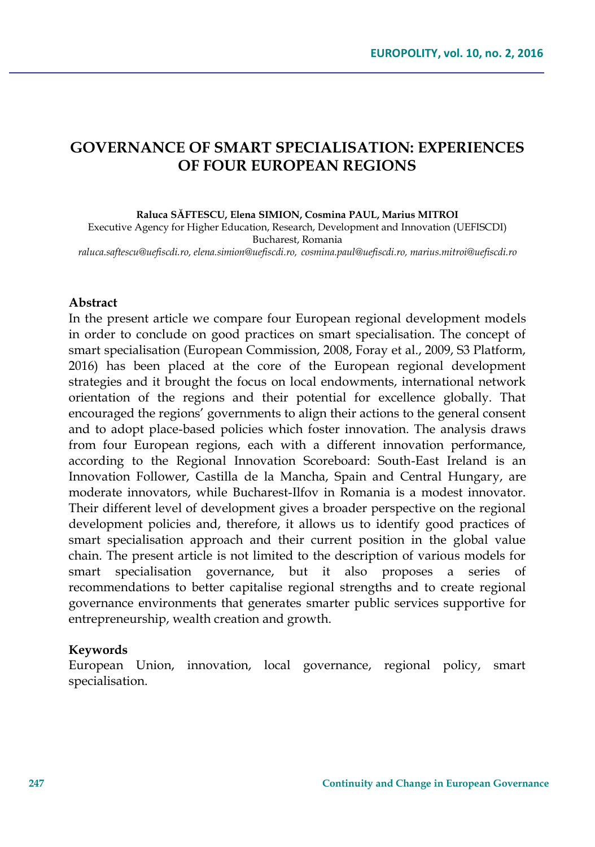## **GOVERNANCE OF SMART SPECIALISATION: EXPERIENCES OF FOUR EUROPEAN REGIONS**

**Raluca SĂFTESCU, Elena SIMION, Cosmina PAUL, Marius MITROI**

Executive Agency for Higher Education, Research, Development and Innovation (UEFISCDI) Bucharest, Romania

*raluca.saftescu@uefiscdi.ro, elena.simion@uefiscdi.ro, cosmina.paul@uefiscdi.ro, marius.mitroi@uefiscdi.ro*

#### **Abstract**

In the present article we compare four European regional development models in order to conclude on good practices on smart specialisation. The concept of smart specialisation (European Commission, 2008, Foray et al., 2009, S3 Platform, 2016) has been placed at the core of the European regional development strategies and it brought the focus on local endowments, international network orientation of the regions and their potential for excellence globally. That encouraged the regions' governments to align their actions to the general consent and to adopt place-based policies which foster innovation. The analysis draws from four European regions, each with a different innovation performance, according to the Regional Innovation Scoreboard: South-East Ireland is an Innovation Follower, Castilla de la Mancha, Spain and Central Hungary, are moderate innovators, while Bucharest-Ilfov in Romania is a modest innovator. Their different level of development gives a broader perspective on the regional development policies and, therefore, it allows us to identify good practices of smart specialisation approach and their current position in the global value chain. The present article is not limited to the description of various models for smart specialisation governance, but it also proposes a series of recommendations to better capitalise regional strengths and to create regional governance environments that generates smarter public services supportive for entrepreneurship, wealth creation and growth.

### **Keywords**

European Union, innovation, local governance, regional policy, smart specialisation.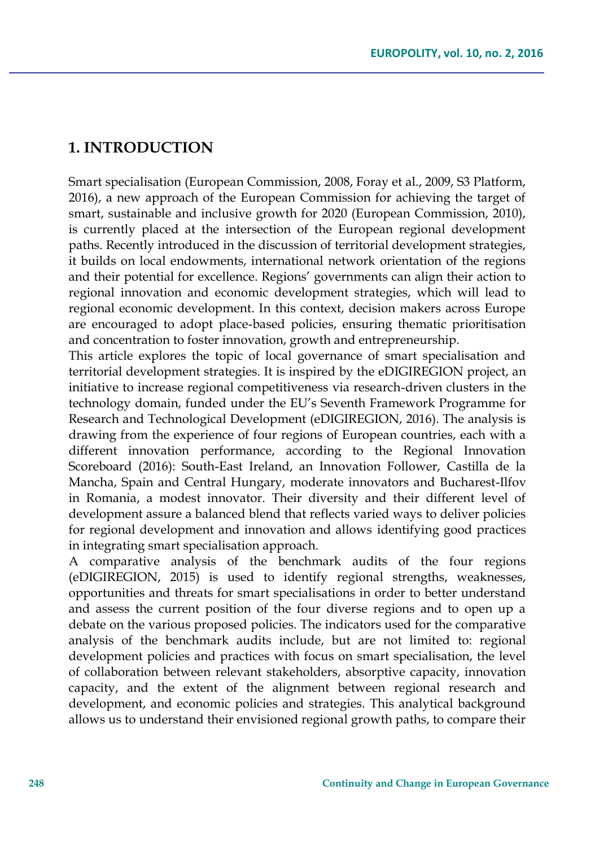### **1. INTRODUCTION**

Smart specialisation (European Commission, 2008, Foray et al., 2009, S3 Platform, 2016), a new approach of the European Commission for achieving the target of smart, sustainable and inclusive growth for 2020 (European Commission, 2010), is currently placed at the intersection of the European regional development paths. Recently introduced in the discussion of territorial development strategies, it builds on local endowments, international network orientation of the regions and their potential for excellence. Regions' governments can align their action to regional innovation and economic development strategies, which will lead to regional economic development. In this context, decision makers across Europe are encouraged to adopt place-based policies, ensuring thematic prioritisation and concentration to foster innovation, growth and entrepreneurship.

This article explores the topic of local governance of smart specialisation and territorial development strategies. It is inspired by the eDIGIREGION project, an initiative to increase regional competitiveness via research-driven clusters in the technology domain, funded under the EU's Seventh Framework Programme for Research and Technological Development (eDIGIREGION, 2016). The analysis is drawing from the experience of four regions of European countries, each with a different innovation performance, according to the Regional Innovation Scoreboard (2016): South-East Ireland, an Innovation Follower, Castilla de la Mancha, Spain and Central Hungary, moderate innovators and Bucharest-Ilfov in Romania, a modest innovator. Their diversity and their different level of development assure a balanced blend that reflects varied ways to deliver policies for regional development and innovation and allows identifying good practices in integrating smart specialisation approach.

A comparative analysis of the benchmark audits of the four regions (eDIGIREGION, 2015) is used to identify regional strengths, weaknesses, opportunities and threats for smart specialisations in order to better understand and assess the current position of the four diverse regions and to open up a debate on the various proposed policies. The indicators used for the comparative analysis of the benchmark audits include, but are not limited to: regional development policies and practices with focus on smart specialisation, the level of collaboration between relevant stakeholders, absorptive capacity, innovation capacity, and the extent of the alignment between regional research and development, and economic policies and strategies. This analytical background allows us to understand their envisioned regional growth paths, to compare their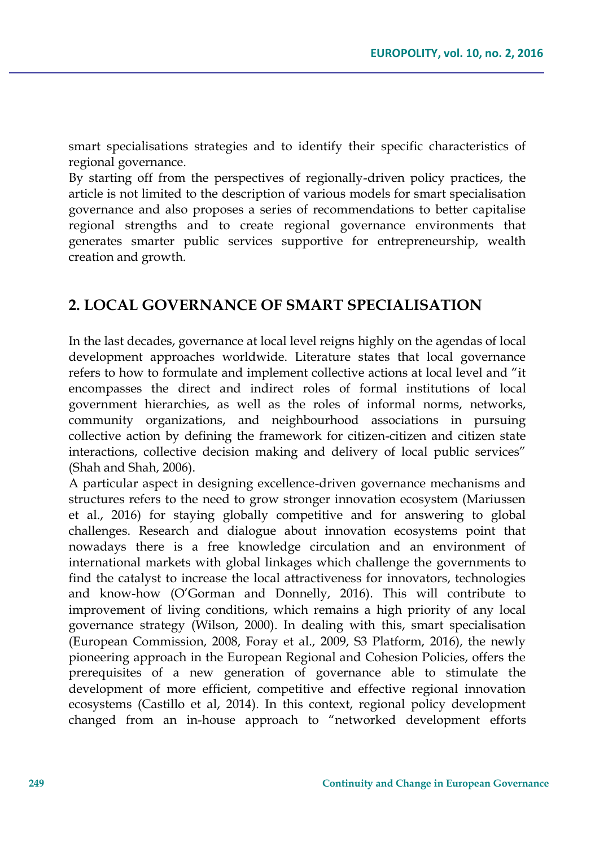smart specialisations strategies and to identify their specific characteristics of regional governance.

By starting off from the perspectives of regionally-driven policy practices, the article is not limited to the description of various models for smart specialisation governance and also proposes a series of recommendations to better capitalise regional strengths and to create regional governance environments that generates smarter public services supportive for entrepreneurship, wealth creation and growth.

# **2. LOCAL GOVERNANCE OF SMART SPECIALISATION**

In the last decades, governance at local level reigns highly on the agendas of local development approaches worldwide. Literature states that local governance refers to how to formulate and implement collective actions at local level and "it encompasses the direct and indirect roles of formal institutions of local government hierarchies, as well as the roles of informal norms, networks, community organizations, and neighbourhood associations in pursuing collective action by defining the framework for citizen-citizen and citizen state interactions, collective decision making and delivery of local public services" (Shah and Shah, 2006).

A particular aspect in designing excellence-driven governance mechanisms and structures refers to the need to grow stronger innovation ecosystem (Mariussen et al., 2016) for staying globally competitive and for answering to global challenges. Research and dialogue about innovation ecosystems point that nowadays there is a free knowledge circulation and an environment of international markets with global linkages which challenge the governments to find the catalyst to increase the local attractiveness for innovators, technologies and know-how (O'Gorman and Donnelly, 2016). This will contribute to improvement of living conditions, which remains a high priority of any local governance strategy (Wilson, 2000). In dealing with this, smart specialisation (European Commission, 2008, Foray et al., 2009, S3 Platform, 2016), the newly pioneering approach in the European Regional and Cohesion Policies, offers the prerequisites of a new generation of governance able to stimulate the development of more efficient, competitive and effective regional innovation ecosystems (Castillo et al, 2014). In this context, regional policy development changed from an in-house approach to "networked development efforts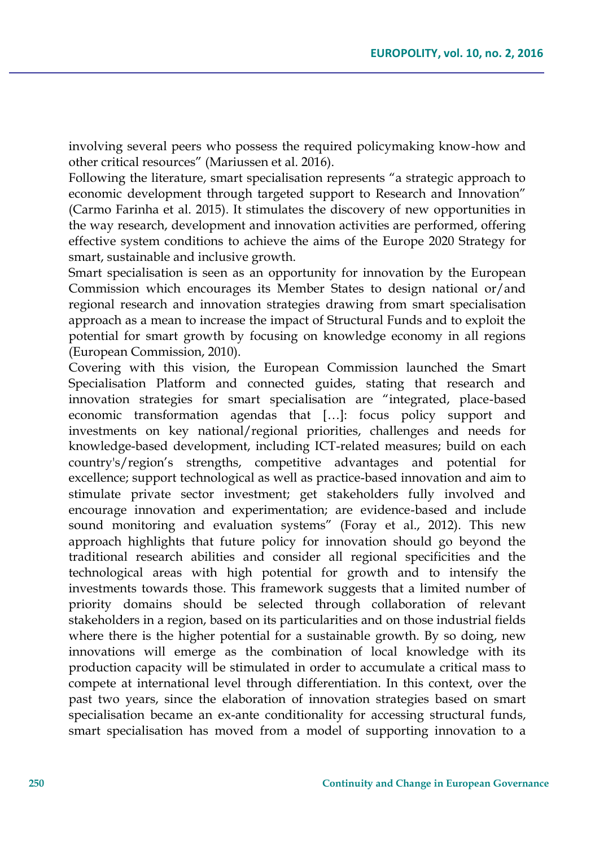involving several peers who possess the required policymaking know-how and other critical resources" (Mariussen et al. 2016).

Following the literature, smart specialisation represents "a strategic approach to economic development through targeted support to Research and Innovation" (Carmo Farinha et al. 2015). It stimulates the discovery of new opportunities in the way research, development and innovation activities are performed, offering effective system conditions to achieve the aims of the Europe 2020 Strategy for smart, sustainable and inclusive growth.

Smart specialisation is seen as an opportunity for innovation by the European Commission which encourages its Member States to design national or/and regional research and innovation strategies drawing from smart specialisation approach as a mean to increase the impact of Structural Funds and to exploit the potential for smart growth by focusing on knowledge economy in all regions (European Commission, 2010).

Covering with this vision, the European Commission launched the Smart Specialisation Platform and connected guides, stating that research and innovation strategies for smart specialisation are "integrated, place-based economic transformation agendas that […]: focus policy support and investments on key national/regional priorities, challenges and needs for knowledge-based development, including ICT-related measures; build on each country's/region's strengths, competitive advantages and potential for excellence; support technological as well as practice-based innovation and aim to stimulate private sector investment; get stakeholders fully involved and encourage innovation and experimentation; are evidence-based and include sound monitoring and evaluation systems" (Foray et al., 2012). This new approach highlights that future policy for innovation should go beyond the traditional research abilities and consider all regional specificities and the technological areas with high potential for growth and to intensify the investments towards those. This framework suggests that a limited number of priority domains should be selected through collaboration of relevant stakeholders in a region, based on its particularities and on those industrial fields where there is the higher potential for a sustainable growth. By so doing, new innovations will emerge as the combination of local knowledge with its production capacity will be stimulated in order to accumulate a critical mass to compete at international level through differentiation. In this context, over the past two years, since the elaboration of innovation strategies based on smart specialisation became an ex-ante conditionality for accessing structural funds, smart specialisation has moved from a model of supporting innovation to a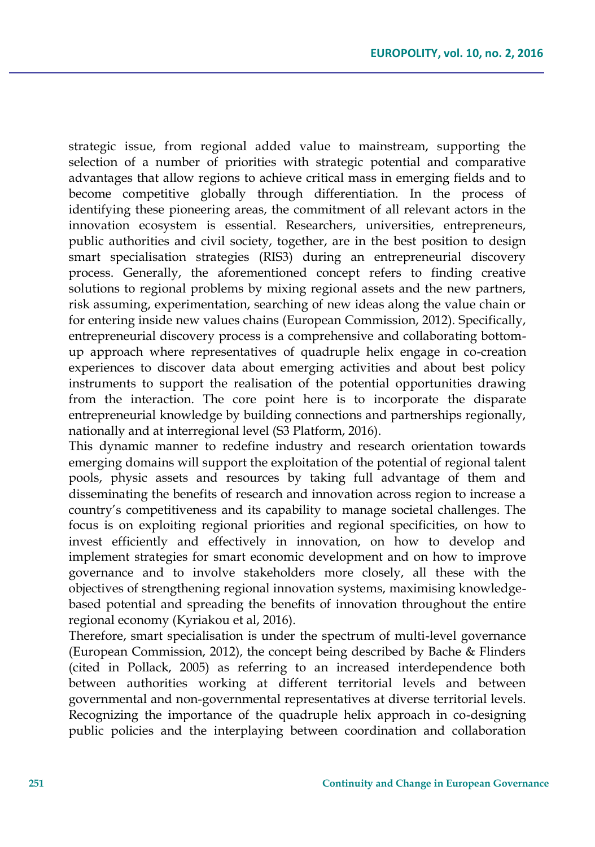strategic issue, from regional added value to mainstream, supporting the selection of a number of priorities with strategic potential and comparative advantages that allow regions to achieve critical mass in emerging fields and to become competitive globally through differentiation. In the process of identifying these pioneering areas, the commitment of all relevant actors in the innovation ecosystem is essential. Researchers, universities, entrepreneurs, public authorities and civil society, together, are in the best position to design smart specialisation strategies (RIS3) during an entrepreneurial discovery process. Generally, the aforementioned concept refers to finding creative solutions to regional problems by mixing regional assets and the new partners, risk assuming, experimentation, searching of new ideas along the value chain or for entering inside new values chains (European Commission, 2012). Specifically, entrepreneurial discovery process is a comprehensive and collaborating bottomup approach where representatives of quadruple helix engage in co-creation experiences to discover data about emerging activities and about best policy instruments to support the realisation of the potential opportunities drawing from the interaction. The core point here is to incorporate the disparate entrepreneurial knowledge by building connections and partnerships regionally, nationally and at interregional level (S3 Platform, 2016).

This dynamic manner to redefine industry and research orientation towards emerging domains will support the exploitation of the potential of regional talent pools, physic assets and resources by taking full advantage of them and disseminating the benefits of research and innovation across region to increase a country's competitiveness and its capability to manage societal challenges. The focus is on exploiting regional priorities and regional specificities, on how to invest efficiently and effectively in innovation, on how to develop and implement strategies for smart economic development and on how to improve governance and to involve stakeholders more closely, all these with the objectives of strengthening regional innovation systems, maximising knowledgebased potential and spreading the benefits of innovation throughout the entire regional economy (Kyriakou et al, 2016).

Therefore, smart specialisation is under the spectrum of multi-level governance (European Commission, 2012), the concept being described by Bache & Flinders (cited in Pollack, 2005) as referring to an increased interdependence both between authorities working at different territorial levels and between governmental and non-governmental representatives at diverse territorial levels. Recognizing the importance of the quadruple helix approach in co-designing public policies and the interplaying between coordination and collaboration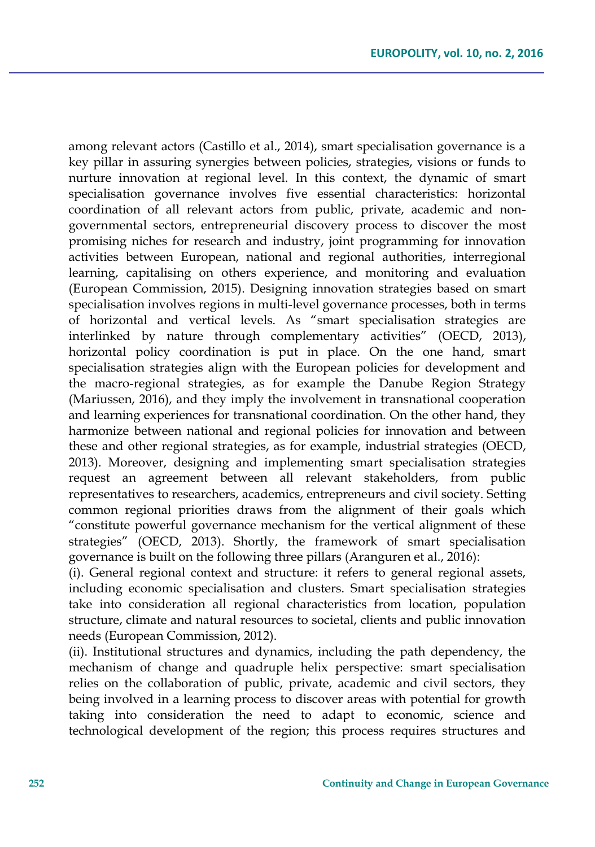among relevant actors (Castillo et al., 2014), smart specialisation governance is a key pillar in assuring synergies between policies, strategies, visions or funds to nurture innovation at regional level. In this context, the dynamic of smart specialisation governance involves five essential characteristics: horizontal coordination of all relevant actors from public, private, academic and nongovernmental sectors, entrepreneurial discovery process to discover the most promising niches for research and industry, joint programming for innovation activities between European, national and regional authorities, interregional learning, capitalising on others experience, and monitoring and evaluation (European Commission, 2015). Designing innovation strategies based on smart specialisation involves regions in multi-level governance processes, both in terms of horizontal and vertical levels. As "smart specialisation strategies are interlinked by nature through complementary activities" (OECD, 2013), horizontal policy coordination is put in place. On the one hand, smart specialisation strategies align with the European policies for development and the macro-regional strategies, as for example the Danube Region Strategy (Mariussen, 2016), and they imply the involvement in transnational cooperation and learning experiences for transnational coordination. On the other hand, they harmonize between national and regional policies for innovation and between these and other regional strategies, as for example, industrial strategies (OECD, 2013). Moreover, designing and implementing smart specialisation strategies request an agreement between all relevant stakeholders, from public representatives to researchers, academics, entrepreneurs and civil society. Setting common regional priorities draws from the alignment of their goals which "constitute powerful governance mechanism for the vertical alignment of these strategies" (OECD, 2013). Shortly, the framework of smart specialisation governance is built on the following three pillars (Aranguren et al., 2016):

(i). General regional context and structure: it refers to general regional assets, including economic specialisation and clusters. Smart specialisation strategies take into consideration all regional characteristics from location, population structure, climate and natural resources to societal, clients and public innovation needs (European Commission, 2012).

(ii). Institutional structures and dynamics, including the path dependency, the mechanism of change and quadruple helix perspective: smart specialisation relies on the collaboration of public, private, academic and civil sectors, they being involved in a learning process to discover areas with potential for growth taking into consideration the need to adapt to economic, science and technological development of the region; this process requires structures and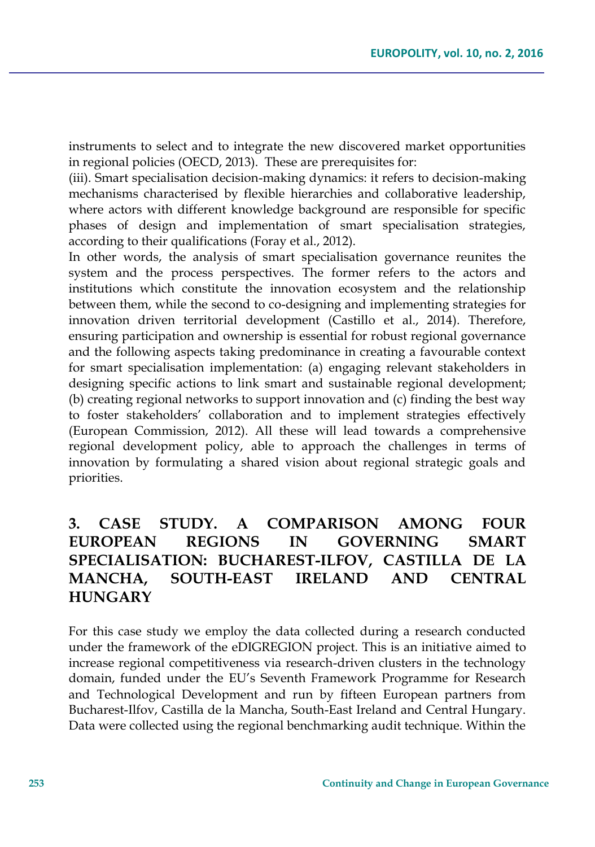instruments to select and to integrate the new discovered market opportunities in regional policies (OECD, 2013). These are prerequisites for:

(iii). Smart specialisation decision-making dynamics: it refers to decision-making mechanisms characterised by flexible hierarchies and collaborative leadership, where actors with different knowledge background are responsible for specific phases of design and implementation of smart specialisation strategies, according to their qualifications (Foray et al., 2012).

In other words, the analysis of smart specialisation governance reunites the system and the process perspectives. The former refers to the actors and institutions which constitute the innovation ecosystem and the relationship between them, while the second to co-designing and implementing strategies for innovation driven territorial development (Castillo et al., 2014). Therefore, ensuring participation and ownership is essential for robust regional governance and the following aspects taking predominance in creating a favourable context for smart specialisation implementation: (a) engaging relevant stakeholders in designing specific actions to link smart and sustainable regional development; (b) creating regional networks to support innovation and (c) finding the best way to foster stakeholders' collaboration and to implement strategies effectively (European Commission, 2012). All these will lead towards a comprehensive regional development policy, able to approach the challenges in terms of innovation by formulating a shared vision about regional strategic goals and priorities.

# **3. CASE STUDY. A COMPARISON AMONG FOUR EUROPEAN REGIONS IN GOVERNING SMART SPECIALISATION: BUCHAREST-ILFOV, CASTILLA DE LA MANCHA, SOUTH-EAST IRELAND AND CENTRAL HUNGARY**

For this case study we employ the data collected during a research conducted under the framework of the eDIGREGION project. This is an initiative aimed to increase regional competitiveness via research-driven clusters in the technology domain, funded under the EU's Seventh Framework Programme for Research and Technological Development and run by fifteen European partners from Bucharest-Ilfov, Castilla de la Mancha, South-East Ireland and Central Hungary. Data were collected using the regional benchmarking audit technique. Within the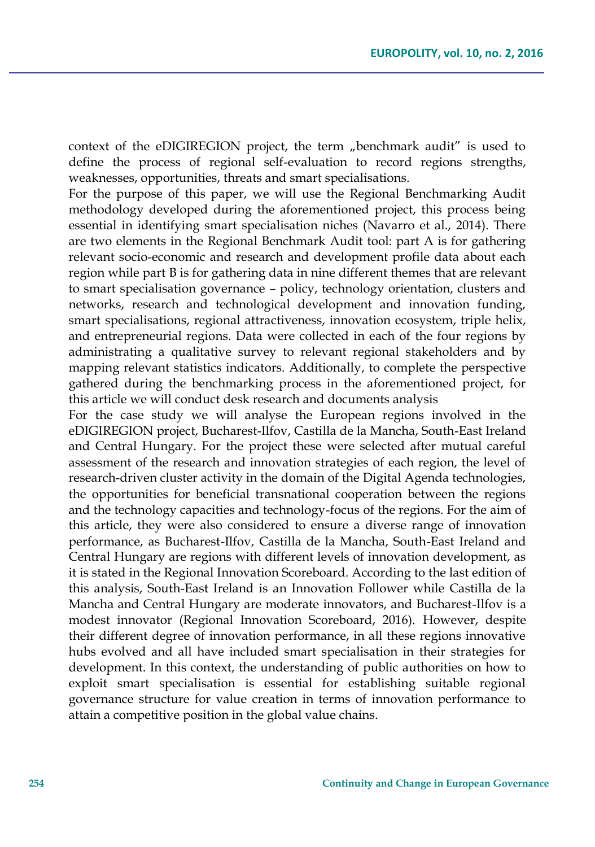context of the eDIGIREGION project, the term "benchmark audit" is used to define the process of regional self-evaluation to record regions strengths, weaknesses, opportunities, threats and smart specialisations.

For the purpose of this paper, we will use the Regional Benchmarking Audit methodology developed during the aforementioned project, this process being essential in identifying smart specialisation niches (Navarro et al., 2014). There are two elements in the Regional Benchmark Audit tool: part A is for gathering relevant socio-economic and research and development profile data about each region while part B is for gathering data in nine different themes that are relevant to smart specialisation governance – policy, technology orientation, clusters and networks, research and technological development and innovation funding, smart specialisations, regional attractiveness, innovation ecosystem, triple helix, and entrepreneurial regions. Data were collected in each of the four regions by administrating a qualitative survey to relevant regional stakeholders and by mapping relevant statistics indicators. Additionally, to complete the perspective gathered during the benchmarking process in the aforementioned project, for this article we will conduct desk research and documents analysis

For the case study we will analyse the European regions involved in the eDIGIREGION project, Bucharest-Ilfov, Castilla de la Mancha, South-East Ireland and Central Hungary. For the project these were selected after mutual careful assessment of the research and innovation strategies of each region, the level of research-driven cluster activity in the domain of the Digital Agenda technologies, the opportunities for beneficial transnational cooperation between the regions and the technology capacities and technology-focus of the regions. For the aim of this article, they were also considered to ensure a diverse range of innovation performance, as Bucharest-Ilfov, Castilla de la Mancha, South-East Ireland and Central Hungary are regions with different levels of innovation development, as it is stated in the Regional Innovation Scoreboard. According to the last edition of this analysis, South-East Ireland is an Innovation Follower while Castilla de la Mancha and Central Hungary are moderate innovators, and Bucharest-Ilfov is a modest innovator (Regional Innovation Scoreboard, 2016). However, despite their different degree of innovation performance, in all these regions innovative hubs evolved and all have included smart specialisation in their strategies for development. In this context, the understanding of public authorities on how to exploit smart specialisation is essential for establishing suitable regional governance structure for value creation in terms of innovation performance to attain a competitive position in the global value chains.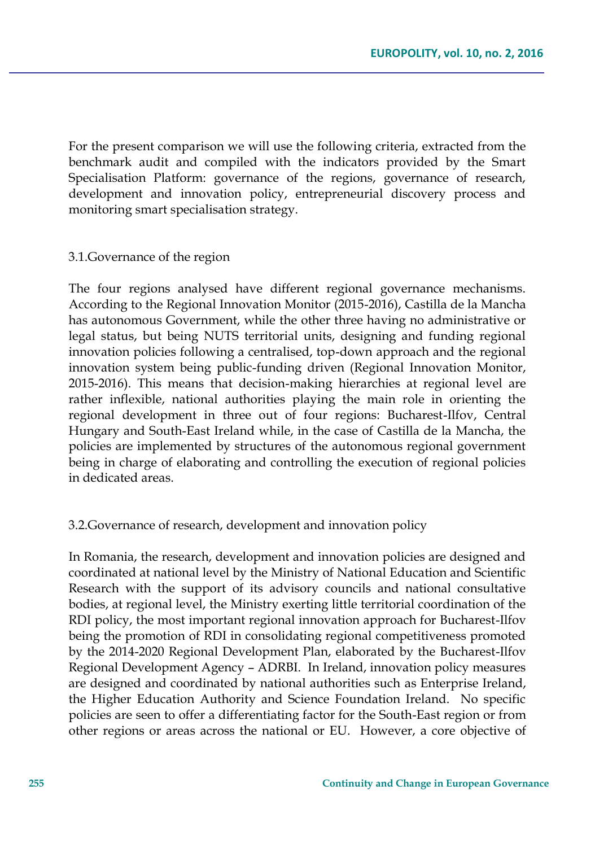For the present comparison we will use the following criteria, extracted from the benchmark audit and compiled with the indicators provided by the Smart Specialisation Platform: governance of the regions, governance of research, development and innovation policy, entrepreneurial discovery process and monitoring smart specialisation strategy.

#### 3.1.Governance of the region

The four regions analysed have different regional governance mechanisms. According to the Regional Innovation Monitor (2015-2016), Castilla de la Mancha has autonomous Government, while the other three having no administrative or legal status, but being NUTS territorial units, designing and funding regional innovation policies following a centralised, top-down approach and the regional innovation system being public-funding driven (Regional Innovation Monitor, 2015-2016). This means that decision-making hierarchies at regional level are rather inflexible, national authorities playing the main role in orienting the regional development in three out of four regions: Bucharest-Ilfov, Central Hungary and South-East Ireland while, in the case of Castilla de la Mancha, the policies are implemented by structures of the autonomous regional government being in charge of elaborating and controlling the execution of regional policies in dedicated areas.

#### 3.2.Governance of research, development and innovation policy

In Romania, the research, development and innovation policies are designed and coordinated at national level by the Ministry of National Education and Scientific Research with the support of its advisory councils and national consultative bodies, at regional level, the Ministry exerting little territorial coordination of the RDI policy, the most important regional innovation approach for Bucharest-Ilfov being the promotion of RDI in consolidating regional competitiveness promoted by the 2014-2020 Regional Development Plan, elaborated by the Bucharest-Ilfov Regional Development Agency – ADRBI. In Ireland, innovation policy measures are designed and coordinated by national authorities such as Enterprise Ireland, the Higher Education Authority and Science Foundation Ireland. No specific policies are seen to offer a differentiating factor for the South-East region or from other regions or areas across the national or EU. However, a core objective of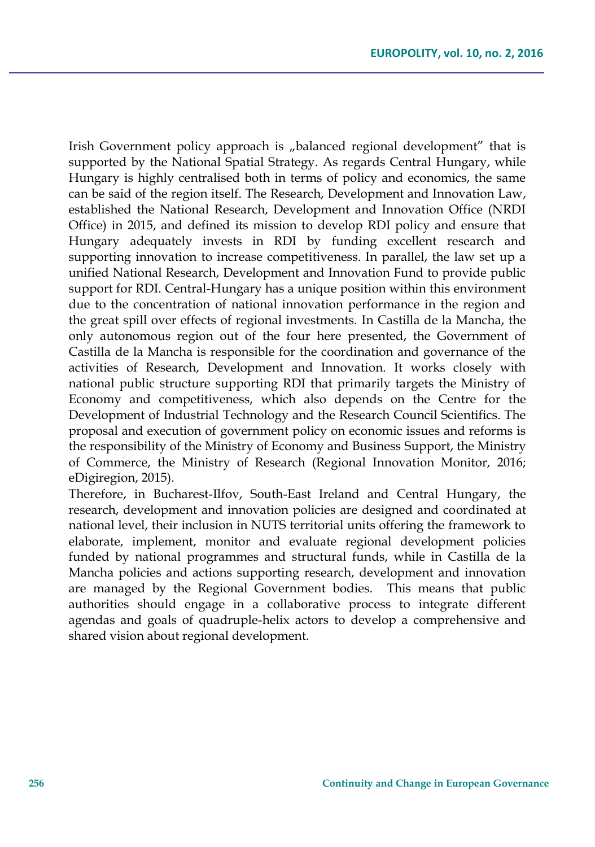Irish Government policy approach is "balanced regional development" that is supported by the National Spatial Strategy. As regards Central Hungary, while Hungary is highly centralised both in terms of policy and economics, the same can be said of the region itself. The Research, Development and Innovation Law, established the National Research, Development and Innovation Office (NRDI Office) in 2015, and defined its mission to develop RDI policy and ensure that Hungary adequately invests in RDI by funding excellent research and supporting innovation to increase competitiveness. In parallel, the law set up a unified National Research, Development and Innovation Fund to provide public support for RDI. Central-Hungary has a unique position within this environment due to the concentration of national innovation performance in the region and the great spill over effects of regional investments. In Castilla de la Mancha, the only autonomous region out of the four here presented, the Government of Castilla de la Mancha is responsible for the coordination and governance of the activities of Research, Development and Innovation. It works closely with national public structure supporting RDI that primarily targets the Ministry of Economy and competitiveness, which also depends on the Centre for the Development of Industrial Technology and the Research Council Scientifics. The proposal and execution of government policy on economic issues and reforms is the responsibility of the Ministry of Economy and Business Support, the Ministry of Commerce, the Ministry of Research (Regional Innovation Monitor, 2016; eDigiregion, 2015).

Therefore, in Bucharest-Ilfov, South-East Ireland and Central Hungary, the research, development and innovation policies are designed and coordinated at national level, their inclusion in NUTS territorial units offering the framework to elaborate, implement, monitor and evaluate regional development policies funded by national programmes and structural funds, while in Castilla de la Mancha policies and actions supporting research, development and innovation are managed by the Regional Government bodies. This means that public authorities should engage in a collaborative process to integrate different agendas and goals of quadruple-helix actors to develop a comprehensive and shared vision about regional development.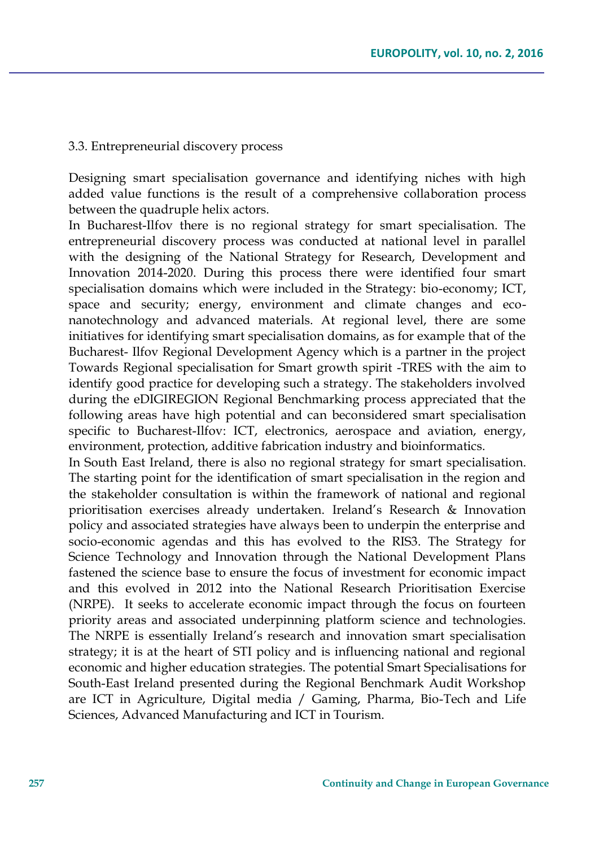#### 3.3. Entrepreneurial discovery process

Designing smart specialisation governance and identifying niches with high added value functions is the result of a comprehensive collaboration process between the quadruple helix actors.

In Bucharest-Ilfov there is no regional strategy for smart specialisation. The entrepreneurial discovery process was conducted at national level in parallel with the designing of the National Strategy for Research, Development and Innovation 2014-2020. During this process there were identified four smart specialisation domains which were included in the Strategy: bio-economy; ICT, space and security; energy, environment and climate changes and econanotechnology and advanced materials. At regional level, there are some initiatives for identifying smart specialisation domains, as for example that of the Bucharest- Ilfov Regional Development Agency which is a partner in the project Towards Regional specialisation for Smart growth spirit -TRES with the aim to identify good practice for developing such a strategy. The stakeholders involved during the eDIGIREGION Regional Benchmarking process appreciated that the following areas have high potential and can beconsidered smart specialisation specific to Bucharest-Ilfov: ICT, electronics, aerospace and aviation, energy, environment, protection, additive fabrication industry and bioinformatics.

In South East Ireland, there is also no regional strategy for smart specialisation. The starting point for the identification of smart specialisation in the region and the stakeholder consultation is within the framework of national and regional prioritisation exercises already undertaken. Ireland's Research & Innovation policy and associated strategies have always been to underpin the enterprise and socio-economic agendas and this has evolved to the RIS3. The Strategy for Science Technology and Innovation through the National Development Plans fastened the science base to ensure the focus of investment for economic impact and this evolved in 2012 into the National Research Prioritisation Exercise (NRPE). It seeks to accelerate economic impact through the focus on fourteen priority areas and associated underpinning platform science and technologies. The NRPE is essentially Ireland's research and innovation smart specialisation strategy; it is at the heart of STI policy and is influencing national and regional economic and higher education strategies. The potential Smart Specialisations for South-East Ireland presented during the Regional Benchmark Audit Workshop are ICT in Agriculture, Digital media / Gaming, Pharma, Bio-Tech and Life Sciences, Advanced Manufacturing and ICT in Tourism.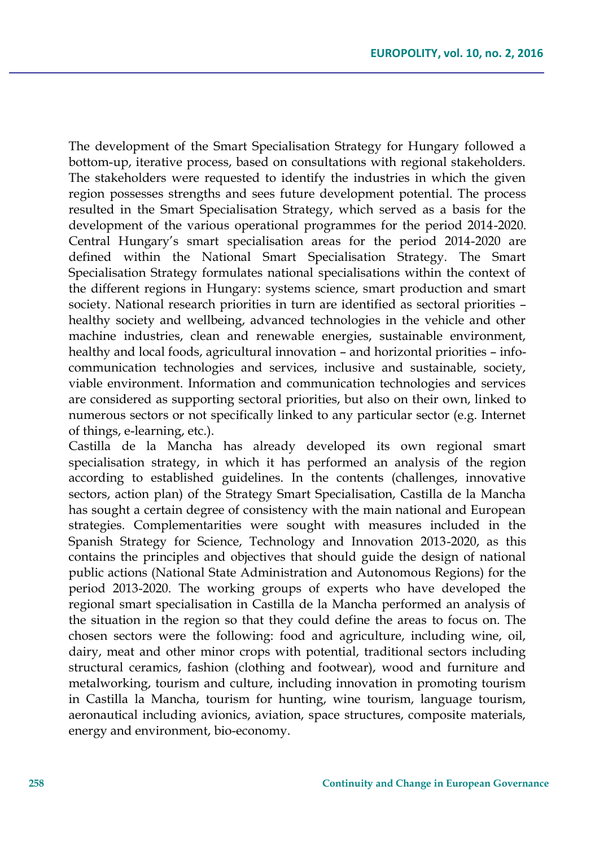The development of the Smart Specialisation Strategy for Hungary followed a bottom-up, iterative process, based on consultations with regional stakeholders. The stakeholders were requested to identify the industries in which the given region possesses strengths and sees future development potential. The process resulted in the Smart Specialisation Strategy, which served as a basis for the development of the various operational programmes for the period 2014-2020. Central Hungary's smart specialisation areas for the period 2014-2020 are defined within the National Smart Specialisation Strategy. The Smart Specialisation Strategy formulates national specialisations within the context of the different regions in Hungary: systems science, smart production and smart society. National research priorities in turn are identified as sectoral priorities – healthy society and wellbeing, advanced technologies in the vehicle and other machine industries, clean and renewable energies, sustainable environment, healthy and local foods, agricultural innovation – and horizontal priorities – infocommunication technologies and services, inclusive and sustainable, society, viable environment. Information and communication technologies and services are considered as supporting sectoral priorities, but also on their own, linked to numerous sectors or not specifically linked to any particular sector (e.g. Internet of things, e-learning, etc.).

Castilla de la Mancha has already developed its own regional smart specialisation strategy, in which it has performed an analysis of the region according to established guidelines. In the contents (challenges, innovative sectors, action plan) of the Strategy Smart Specialisation, Castilla de la Mancha has sought a certain degree of consistency with the main national and European strategies. Complementarities were sought with measures included in the Spanish Strategy for Science, Technology and Innovation 2013-2020, as this contains the principles and objectives that should guide the design of national public actions (National State Administration and Autonomous Regions) for the period 2013-2020. The working groups of experts who have developed the regional smart specialisation in Castilla de la Mancha performed an analysis of the situation in the region so that they could define the areas to focus on. The chosen sectors were the following: food and agriculture, including wine, oil, dairy, meat and other minor crops with potential, traditional sectors including structural ceramics, fashion (clothing and footwear), wood and furniture and metalworking, tourism and culture, including innovation in promoting tourism in Castilla la Mancha, tourism for hunting, wine tourism, language tourism, aeronautical including avionics, aviation, space structures, composite materials, energy and environment, bio-economy.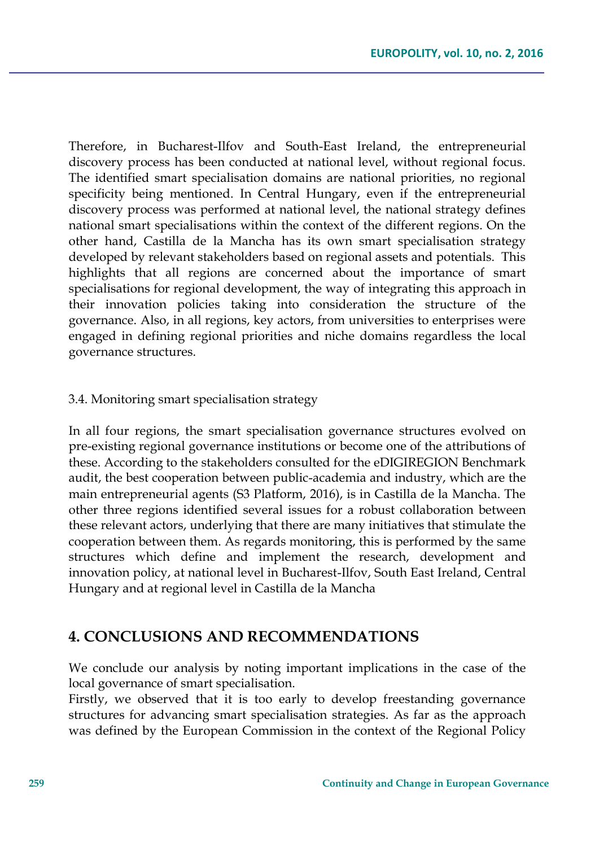Therefore, in Bucharest-Ilfov and South-East Ireland, the entrepreneurial discovery process has been conducted at national level, without regional focus. The identified smart specialisation domains are national priorities, no regional specificity being mentioned. In Central Hungary, even if the entrepreneurial discovery process was performed at national level, the national strategy defines national smart specialisations within the context of the different regions. On the other hand, Castilla de la Mancha has its own smart specialisation strategy developed by relevant stakeholders based on regional assets and potentials. This highlights that all regions are concerned about the importance of smart specialisations for regional development, the way of integrating this approach in their innovation policies taking into consideration the structure of the governance. Also, in all regions, key actors, from universities to enterprises were engaged in defining regional priorities and niche domains regardless the local governance structures.

#### 3.4. Monitoring smart specialisation strategy

In all four regions, the smart specialisation governance structures evolved on pre-existing regional governance institutions or become one of the attributions of these. According to the stakeholders consulted for the eDIGIREGION Benchmark audit, the best cooperation between public-academia and industry, which are the main entrepreneurial agents (S3 Platform, 2016), is in Castilla de la Mancha. The other three regions identified several issues for a robust collaboration between these relevant actors, underlying that there are many initiatives that stimulate the cooperation between them. As regards monitoring, this is performed by the same structures which define and implement the research, development and innovation policy, at national level in Bucharest-Ilfov, South East Ireland, Central Hungary and at regional level in Castilla de la Mancha

### **4. CONCLUSIONS AND RECOMMENDATIONS**

We conclude our analysis by noting important implications in the case of the local governance of smart specialisation.

Firstly, we observed that it is too early to develop freestanding governance structures for advancing smart specialisation strategies. As far as the approach was defined by the European Commission in the context of the Regional Policy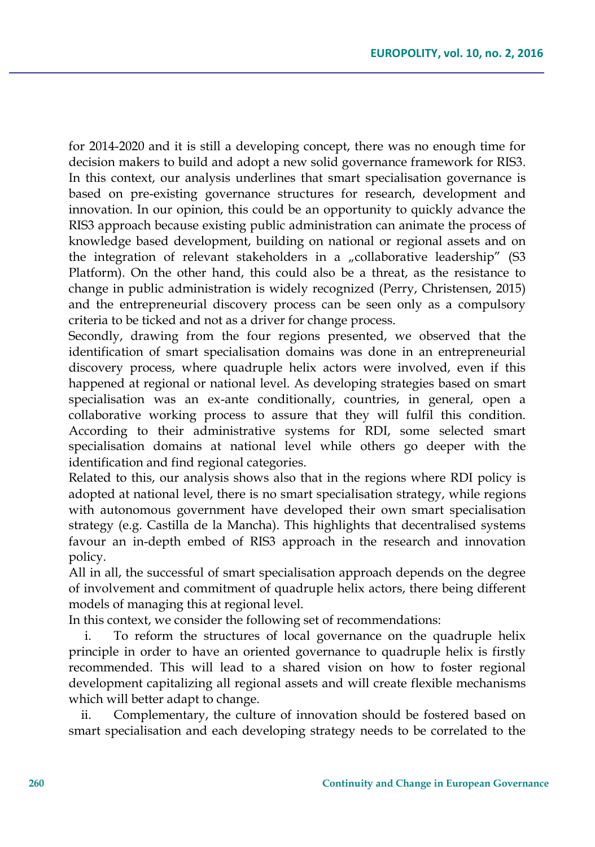for 2014-2020 and it is still a developing concept, there was no enough time for decision makers to build and adopt a new solid governance framework for RIS3. In this context, our analysis underlines that smart specialisation governance is based on pre-existing governance structures for research, development and innovation. In our opinion, this could be an opportunity to quickly advance the RIS3 approach because existing public administration can animate the process of knowledge based development, building on national or regional assets and on the integration of relevant stakeholders in a  $n$  collaborative leadership" (S3 Platform). On the other hand, this could also be a threat, as the resistance to change in public administration is widely recognized (Perry, Christensen, 2015) and the entrepreneurial discovery process can be seen only as a compulsory criteria to be ticked and not as a driver for change process.

Secondly, drawing from the four regions presented, we observed that the identification of smart specialisation domains was done in an entrepreneurial discovery process, where quadruple helix actors were involved, even if this happened at regional or national level. As developing strategies based on smart specialisation was an ex-ante conditionally, countries, in general, open a collaborative working process to assure that they will fulfil this condition. According to their administrative systems for RDI, some selected smart specialisation domains at national level while others go deeper with the identification and find regional categories.

Related to this, our analysis shows also that in the regions where RDI policy is adopted at national level, there is no smart specialisation strategy, while regions with autonomous government have developed their own smart specialisation strategy (e.g. Castilla de la Mancha). This highlights that decentralised systems favour an in-depth embed of RIS3 approach in the research and innovation policy.

All in all, the successful of smart specialisation approach depends on the degree of involvement and commitment of quadruple helix actors, there being different models of managing this at regional level.

In this context, we consider the following set of recommendations:

i. To reform the structures of local governance on the quadruple helix principle in order to have an oriented governance to quadruple helix is firstly recommended. This will lead to a shared vision on how to foster regional development capitalizing all regional assets and will create flexible mechanisms which will better adapt to change.

ii. Complementary, the culture of innovation should be fostered based on smart specialisation and each developing strategy needs to be correlated to the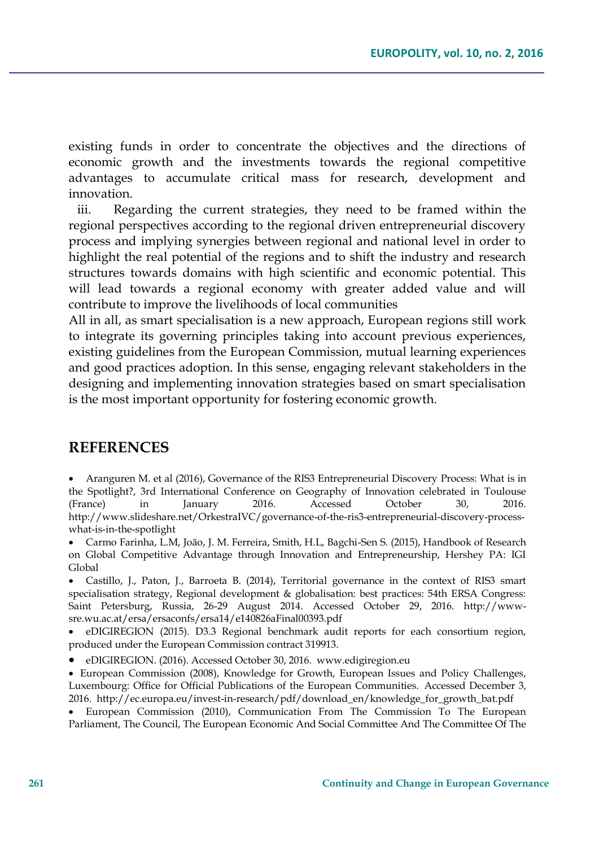existing funds in order to concentrate the objectives and the directions of economic growth and the investments towards the regional competitive advantages to accumulate critical mass for research, development and innovation.

iii. Regarding the current strategies, they need to be framed within the regional perspectives according to the regional driven entrepreneurial discovery process and implying synergies between regional and national level in order to highlight the real potential of the regions and to shift the industry and research structures towards domains with high scientific and economic potential. This will lead towards a regional economy with greater added value and will contribute to improve the livelihoods of local communities

All in all, as smart specialisation is a new approach, European regions still work to integrate its governing principles taking into account previous experiences, existing guidelines from the European Commission, mutual learning experiences and good practices adoption. In this sense, engaging relevant stakeholders in the designing and implementing innovation strategies based on smart specialisation is the most important opportunity for fostering economic growth.

### **REFERENCES**

 Aranguren M. et al (2016), Governance of the RIS3 Entrepreneurial Discovery Process: What is in the Spotlight?, 3rd International Conference on Geography of Innovation celebrated in Toulouse (France) in January 2016. Accessed October 30, 2016. http://www.slideshare.net/OrkestraIVC/governance-of-the-ris3-entrepreneurial-discovery-processwhat-is-in-the-spotlight

 Carmo Farinha, L.M, João, J. M. Ferreira, Smith, H.L, Bagchi-Sen S. (2015), Handbook of Research on Global Competitive Advantage through Innovation and Entrepreneurship, Hershey PA: IGI Global

 Castillo, J., Paton, J., Barroeta B. (2014), Territorial governance in the context of RIS3 smart specialisation strategy, Regional development & globalisation: best practices: 54th ERSA Congress: Saint Petersburg, Russia, 26-29 August 2014. Accessed October 29, 2016. http://wwwsre.wu.ac.at/ersa/ersaconfs/ersa14/e140826aFinal00393.pdf

 eDIGIREGION (2015). D3.3 Regional benchmark audit reports for each consortium region, produced under the European Commission contract 319913.

eDIGIREGION. (2016). Accessed October 30, 2016. www.edigiregion.eu

 European Commission (2008), Knowledge for Growth, European Issues and Policy Challenges, Luxembourg: Office for Official Publications of the European Communities. Accessed December 3, 2016. http://ec.europa.eu/invest-in-research/pdf/download\_en/knowledge\_for\_growth\_bat.pdf

 European Commission (2010), Communication From The Commission To The European Parliament, The Council, The European Economic And Social Committee And The Committee Of The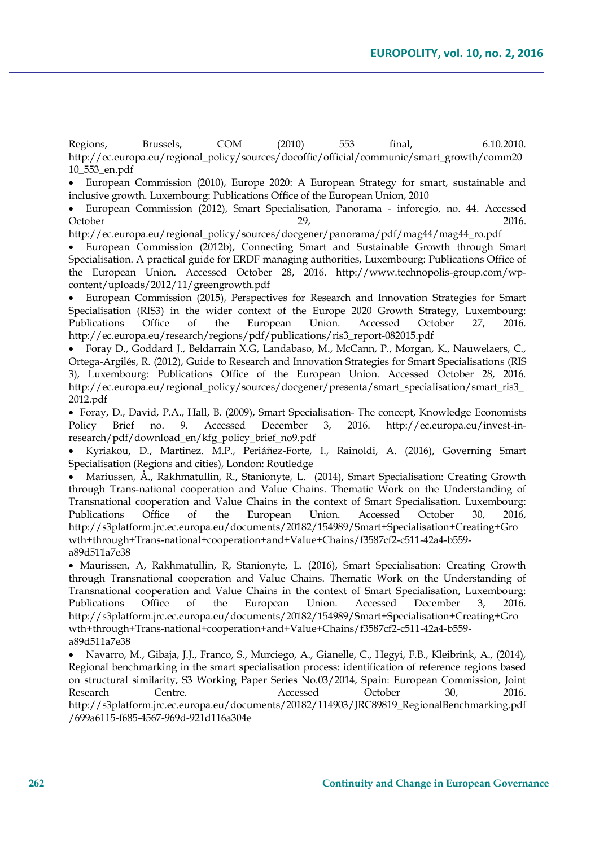Regions, Brussels, COM (2010) 553 final, 6.10.2010. http://ec.europa.eu/regional\_policy/sources/docoffic/official/communic/smart\_growth/comm20 10\_553\_en.pdf

 European Commission (2010), Europe 2020: A European Strategy for smart, sustainable and inclusive growth. Luxembourg: Publications Office of the European Union, 2010

 European Commission (2012), Smart Specialisation, Panorama - inforegio, no. 44. Accessed October 29, 2016.

http://ec.europa.eu/regional\_policy/sources/docgener/panorama/pdf/mag44/mag44\_ro.pdf

 European Commission (2012b), Connecting Smart and Sustainable Growth through Smart Specialisation. A practical guide for ERDF managing authorities, Luxembourg: Publications Office of the European Union. Accessed October 28, 2016. http://www.technopolis-group.com/wpcontent/uploads/2012/11/greengrowth.pdf

 European Commission (2015), Perspectives for Research and Innovation Strategies for Smart Specialisation (RIS3) in the wider context of the Europe 2020 Growth Strategy, Luxembourg: Publications Office of the European Union. Accessed October 27, 2016. http://ec.europa.eu/research/regions/pdf/publications/ris3\_report-082015.pdf

 Foray D., Goddard J., Beldarrain X.G, Landabaso, M., McCann, P., Morgan, K., Nauwelaers, C., Ortega-Argilés, R. (2012), Guide to Research and Innovation Strategies for Smart Specialisations (RIS 3), Luxembourg: Publications Office of the European Union. Accessed October 28, 2016. http://ec.europa.eu/regional\_policy/sources/docgener/presenta/smart\_specialisation/smart\_ris3\_ 2012.pdf

 Foray, D., David, P.A., Hall, B. (2009), Smart Specialisation- The concept, Knowledge Economists Policy Brief no. 9. Accessed December 3, 2016. http://ec.europa.eu/invest-inresearch/pdf/download\_en/kfg\_policy\_brief\_no9.pdf

 Kyriakou, D., Martinez. M.P., Periáñez-Forte, I., Rainoldi, A. (2016), Governing Smart Specialisation (Regions and cities), London: Routledge

 Mariussen, Å., Rakhmatullin, R., Stanionyte, L. (2014), Smart Specialisation: Creating Growth through Trans-national cooperation and Value Chains. Thematic Work on the Understanding of Transnational cooperation and Value Chains in the context of Smart Specialisation. Luxembourg: Publications Office of the European Union. Accessed October 30, 2016, http://s3platform.jrc.ec.europa.eu/documents/20182/154989/Smart+Specialisation+Creating+Gro wth+through+Trans-national+cooperation+and+Value+Chains/f3587cf2-c511-42a4-b559 a89d511a7e38

 Maurissen, A, Rakhmatullin, R, Stanionyte, L. (2016), Smart Specialisation: Creating Growth through Transnational cooperation and Value Chains. Thematic Work on the Understanding of Transnational cooperation and Value Chains in the context of Smart Specialisation, Luxembourg: Publications Office of the European Union. Accessed December 3, 2016. http://s3platform.jrc.ec.europa.eu/documents/20182/154989/Smart+Specialisation+Creating+Gro wth+through+Trans-national+cooperation+and+Value+Chains/f3587cf2-c511-42a4-b559 a89d511a7e38

 Navarro, M., Gibaja, J.J., Franco, S., Murciego, A., Gianelle, C., Hegyi, F.B., Kleibrink, A., (2014), Regional benchmarking in the smart specialisation process: identification of reference regions based on structural similarity, S3 Working Paper Series No.03/2014, Spain: European Commission, Joint Research Centre. Accessed October 30, 2016. http://s3platform.jrc.ec.europa.eu/documents/20182/114903/JRC89819\_RegionalBenchmarking.pdf /699a6115-f685-4567-969d-921d116a304e